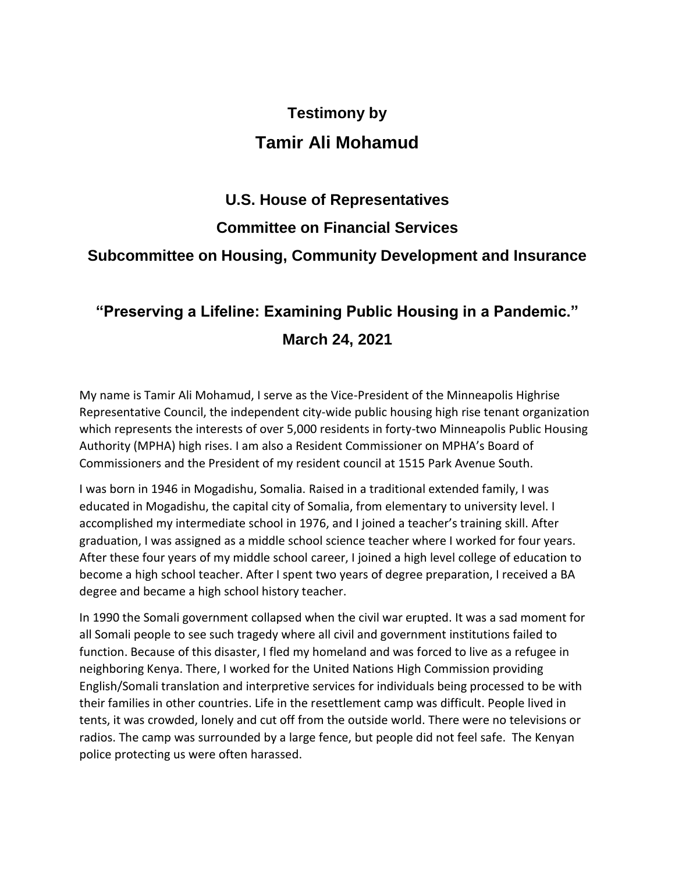## **Testimony by Tamir Ali Mohamud**

## **U.S. House of Representatives Committee on Financial Services Subcommittee on Housing, Community Development and Insurance**

## **"Preserving a Lifeline: Examining Public Housing in a Pandemic." March 24, 2021**

My name is Tamir Ali Mohamud, I serve as the Vice-President of the Minneapolis Highrise Representative Council, the independent city-wide public housing high rise tenant organization which represents the interests of over 5,000 residents in forty-two Minneapolis Public Housing Authority (MPHA) high rises. I am also a Resident Commissioner on MPHA's Board of Commissioners and the President of my resident council at 1515 Park Avenue South.

I was born in 1946 in Mogadishu, Somalia. Raised in a traditional extended family, I was educated in Mogadishu, the capital city of Somalia, from elementary to university level. I accomplished my intermediate school in 1976, and I joined a teacher's training skill. After graduation, I was assigned as a middle school science teacher where I worked for four years. After these four years of my middle school career, I joined a high level college of education to become a high school teacher. After I spent two years of degree preparation, I received a BA degree and became a high school history teacher.

In 1990 the Somali government collapsed when the civil war erupted. It was a sad moment for all Somali people to see such tragedy where all civil and government institutions failed to function. Because of this disaster, I fled my homeland and was forced to live as a refugee in neighboring Kenya. There, I worked for the United Nations High Commission providing English/Somali translation and interpretive services for individuals being processed to be with their families in other countries. Life in the resettlement camp was difficult. People lived in tents, it was crowded, lonely and cut off from the outside world. There were no televisions or radios. The camp was surrounded by a large fence, but people did not feel safe. The Kenyan police protecting us were often harassed.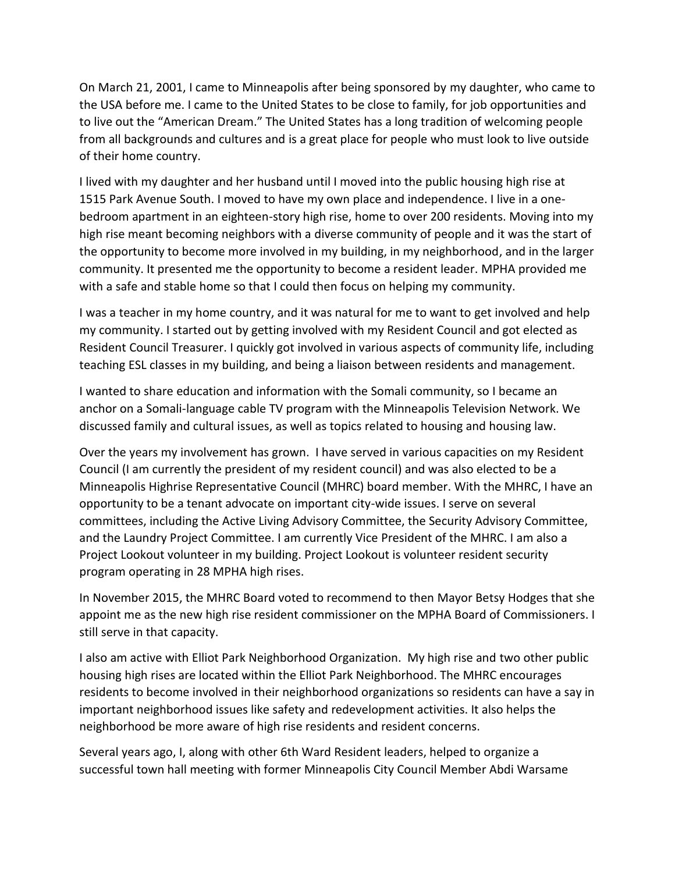On March 21, 2001, I came to Minneapolis after being sponsored by my daughter, who came to the USA before me. I came to the United States to be close to family, for job opportunities and to live out the "American Dream." The United States has a long tradition of welcoming people from all backgrounds and cultures and is a great place for people who must look to live outside of their home country.

I lived with my daughter and her husband until I moved into the public housing high rise at 1515 Park Avenue South. I moved to have my own place and independence. I live in a onebedroom apartment in an eighteen-story high rise, home to over 200 residents. Moving into my high rise meant becoming neighbors with a diverse community of people and it was the start of the opportunity to become more involved in my building, in my neighborhood, and in the larger community. It presented me the opportunity to become a resident leader. MPHA provided me with a safe and stable home so that I could then focus on helping my community.

I was a teacher in my home country, and it was natural for me to want to get involved and help my community. I started out by getting involved with my Resident Council and got elected as Resident Council Treasurer. I quickly got involved in various aspects of community life, including teaching ESL classes in my building, and being a liaison between residents and management.

I wanted to share education and information with the Somali community, so I became an anchor on a Somali-language cable TV program with the Minneapolis Television Network. We discussed family and cultural issues, as well as topics related to housing and housing law.

Over the years my involvement has grown. I have served in various capacities on my Resident Council (I am currently the president of my resident council) and was also elected to be a Minneapolis Highrise Representative Council (MHRC) board member. With the MHRC, I have an opportunity to be a tenant advocate on important city-wide issues. I serve on several committees, including the Active Living Advisory Committee, the Security Advisory Committee, and the Laundry Project Committee. I am currently Vice President of the MHRC. I am also a Project Lookout volunteer in my building. Project Lookout is volunteer resident security program operating in 28 MPHA high rises.

In November 2015, the MHRC Board voted to recommend to then Mayor Betsy Hodges that she appoint me as the new high rise resident commissioner on the MPHA Board of Commissioners. I still serve in that capacity.

I also am active with Elliot Park Neighborhood Organization. My high rise and two other public housing high rises are located within the Elliot Park Neighborhood. The MHRC encourages residents to become involved in their neighborhood organizations so residents can have a say in important neighborhood issues like safety and redevelopment activities. It also helps the neighborhood be more aware of high rise residents and resident concerns.

Several years ago, I, along with other 6th Ward Resident leaders, helped to organize a successful town hall meeting with former Minneapolis City Council Member Abdi Warsame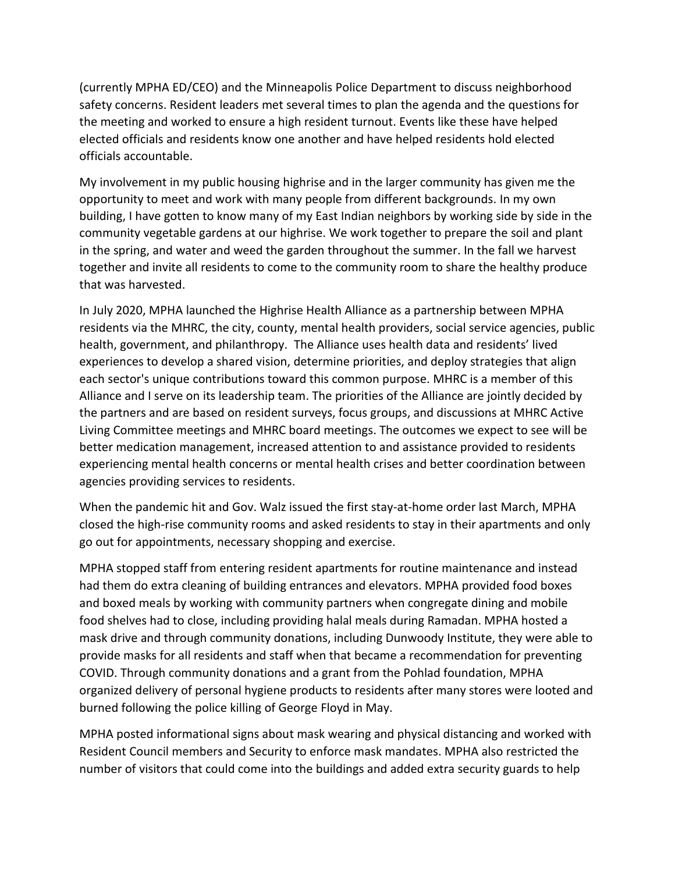(currently MPHA ED/CEO) and the Minneapolis Police Department to discuss neighborhood safety concerns. Resident leaders met several times to plan the agenda and the questions for the meeting and worked to ensure a high resident turnout. Events like these have helped elected officials and residents know one another and have helped residents hold elected officials accountable.

My involvement in my public housing highrise and in the larger community has given me the opportunity to meet and work with many people from different backgrounds. In my own building, I have gotten to know many of my East Indian neighbors by working side by side in the community vegetable gardens at our highrise. We work together to prepare the soil and plant in the spring, and water and weed the garden throughout the summer. In the fall we harvest together and invite all residents to come to the community room to share the healthy produce that was harvested.

In July 2020, MPHA launched the Highrise Health Alliance as a partnership between MPHA residents via the MHRC, the city, county, mental health providers, social service agencies, public health, government, and philanthropy. The Alliance uses health data and residents' lived experiences to develop a shared vision, determine priorities, and deploy strategies that align each sector's unique contributions toward this common purpose. MHRC is a member of this Alliance and I serve on its leadership team. The priorities of the Alliance are jointly decided by the partners and are based on resident surveys, focus groups, and discussions at MHRC Active Living Committee meetings and MHRC board meetings. The outcomes we expect to see will be better medication management, increased attention to and assistance provided to residents experiencing mental health concerns or mental health crises and better coordination between agencies providing services to residents.

When the pandemic hit and Gov. Walz issued the first stay-at-home order last March, MPHA closed the high-rise community rooms and asked residents to stay in their apartments and only go out for appointments, necessary shopping and exercise.

MPHA stopped staff from entering resident apartments for routine maintenance and instead had them do extra cleaning of building entrances and elevators. MPHA provided food boxes and boxed meals by working with community partners when congregate dining and mobile food shelves had to close, including providing halal meals during Ramadan. MPHA hosted a mask drive and through community donations, including Dunwoody Institute, they were able to provide masks for all residents and staff when that became a recommendation for preventing COVID. Through community donations and a grant from the Pohlad foundation, MPHA organized delivery of personal hygiene products to residents after many stores were looted and burned following the police killing of George Floyd in May.

MPHA posted informational signs about mask wearing and physical distancing and worked with Resident Council members and Security to enforce mask mandates. MPHA also restricted the number of visitors that could come into the buildings and added extra security guards to help